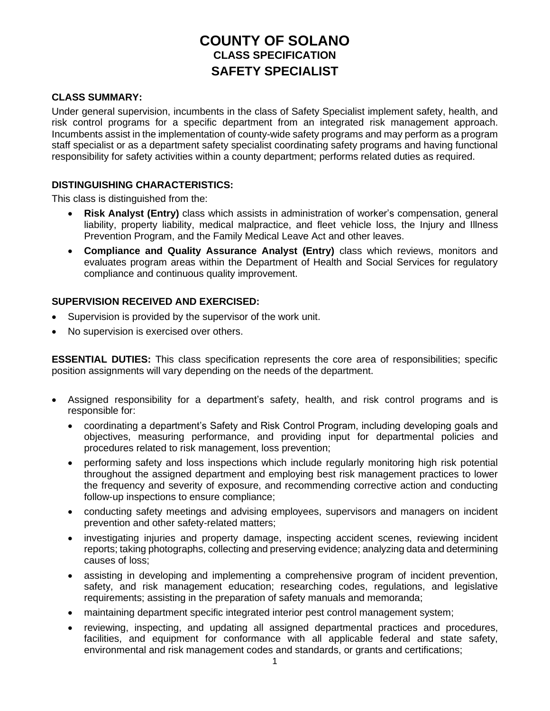# **COUNTY OF SOLANO CLASS SPECIFICATION SAFETY SPECIALIST**

#### **CLASS SUMMARY:**

Under general supervision, incumbents in the class of Safety Specialist implement safety, health, and risk control programs for a specific department from an integrated risk management approach. Incumbents assist in the implementation of county-wide safety programs and may perform as a program staff specialist or as a department safety specialist coordinating safety programs and having functional responsibility for safety activities within a county department; performs related duties as required.

#### **DISTINGUISHING CHARACTERISTICS:**

This class is distinguished from the:

- **Risk Analyst (Entry)** class which assists in administration of worker's compensation, general liability, property liability, medical malpractice, and fleet vehicle loss, the Injury and Illness Prevention Program, and the Family Medical Leave Act and other leaves.
- **Compliance and Quality Assurance Analyst (Entry)** class which reviews, monitors and evaluates program areas within the Department of Health and Social Services for regulatory compliance and continuous quality improvement.

#### **SUPERVISION RECEIVED AND EXERCISED:**

- Supervision is provided by the supervisor of the work unit.
- No supervision is exercised over others.

**ESSENTIAL DUTIES:** This class specification represents the core area of responsibilities; specific position assignments will vary depending on the needs of the department.

- Assigned responsibility for a department's safety, health, and risk control programs and is responsible for:
	- coordinating a department's Safety and Risk Control Program, including developing goals and objectives, measuring performance, and providing input for departmental policies and procedures related to risk management, loss prevention;
	- performing safety and loss inspections which include regularly monitoring high risk potential throughout the assigned department and employing best risk management practices to lower the frequency and severity of exposure, and recommending corrective action and conducting follow-up inspections to ensure compliance;
	- conducting safety meetings and advising employees, supervisors and managers on incident prevention and other safety-related matters;
	- investigating injuries and property damage, inspecting accident scenes, reviewing incident reports; taking photographs, collecting and preserving evidence; analyzing data and determining causes of loss;
	- assisting in developing and implementing a comprehensive program of incident prevention, safety, and risk management education; researching codes, regulations, and legislative requirements; assisting in the preparation of safety manuals and memoranda;
	- maintaining department specific integrated interior pest control management system;
	- reviewing, inspecting, and updating all assigned departmental practices and procedures, facilities, and equipment for conformance with all applicable federal and state safety, environmental and risk management codes and standards, or grants and certifications;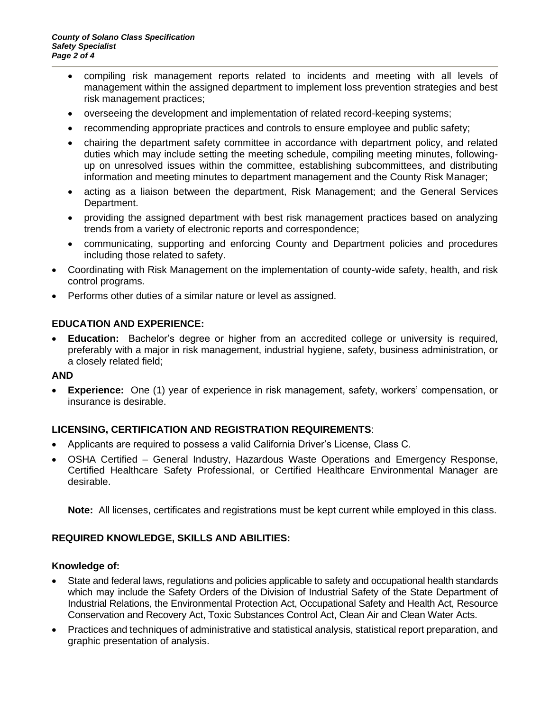- compiling risk management reports related to incidents and meeting with all levels of management within the assigned department to implement loss prevention strategies and best risk management practices;
- overseeing the development and implementation of related record-keeping systems;
- recommending appropriate practices and controls to ensure employee and public safety;
- chairing the department safety committee in accordance with department policy, and related duties which may include setting the meeting schedule, compiling meeting minutes, followingup on unresolved issues within the committee, establishing subcommittees, and distributing information and meeting minutes to department management and the County Risk Manager;
- acting as a liaison between the department, Risk Management; and the General Services Department.
- providing the assigned department with best risk management practices based on analyzing trends from a variety of electronic reports and correspondence;
- communicating, supporting and enforcing County and Department policies and procedures including those related to safety.
- Coordinating with Risk Management on the implementation of county-wide safety, health, and risk control programs.
- Performs other duties of a similar nature or level as assigned.

## **EDUCATION AND EXPERIENCE:**

• **Education:** Bachelor's degree or higher from an accredited college or university is required, preferably with a major in risk management, industrial hygiene, safety, business administration, or a closely related field;

## **AND**

• **Experience:** One (1) year of experience in risk management, safety, workers' compensation, or insurance is desirable.

# **LICENSING, CERTIFICATION AND REGISTRATION REQUIREMENTS**:

- Applicants are required to possess a valid California Driver's License, Class C.
- OSHA Certified General Industry, Hazardous Waste Operations and Emergency Response, Certified Healthcare Safety Professional, or Certified Healthcare Environmental Manager are desirable.

**Note:** All licenses, certificates and registrations must be kept current while employed in this class.

## **REQUIRED KNOWLEDGE, SKILLS AND ABILITIES:**

## **Knowledge of:**

- State and federal laws, regulations and policies applicable to safety and occupational health standards which may include the Safety Orders of the Division of Industrial Safety of the State Department of Industrial Relations, the Environmental Protection Act, Occupational Safety and Health Act, Resource Conservation and Recovery Act, Toxic Substances Control Act, Clean Air and Clean Water Acts.
- Practices and techniques of administrative and statistical analysis, statistical report preparation, and graphic presentation of analysis.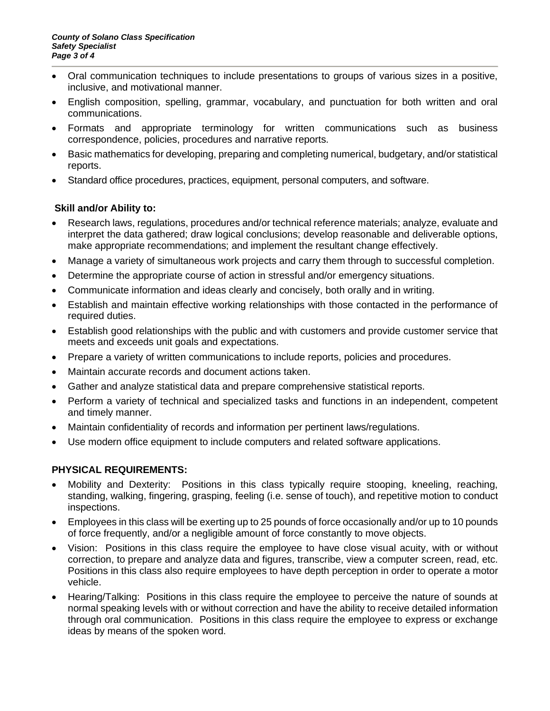- Oral communication techniques to include presentations to groups of various sizes in a positive, inclusive, and motivational manner.
- English composition, spelling, grammar, vocabulary, and punctuation for both written and oral communications.
- Formats and appropriate terminology for written communications such as business correspondence, policies, procedures and narrative reports.
- Basic mathematics for developing, preparing and completing numerical, budgetary, and/or statistical reports.
- Standard office procedures, practices, equipment, personal computers, and software.

## **Skill and/or Ability to:**

- Research laws, regulations, procedures and/or technical reference materials; analyze, evaluate and interpret the data gathered; draw logical conclusions; develop reasonable and deliverable options, make appropriate recommendations; and implement the resultant change effectively.
- Manage a variety of simultaneous work projects and carry them through to successful completion.
- Determine the appropriate course of action in stressful and/or emergency situations.
- Communicate information and ideas clearly and concisely, both orally and in writing.
- Establish and maintain effective working relationships with those contacted in the performance of required duties.
- Establish good relationships with the public and with customers and provide customer service that meets and exceeds unit goals and expectations.
- Prepare a variety of written communications to include reports, policies and procedures.
- Maintain accurate records and document actions taken.
- Gather and analyze statistical data and prepare comprehensive statistical reports.
- Perform a variety of technical and specialized tasks and functions in an independent, competent and timely manner.
- Maintain confidentiality of records and information per pertinent laws/regulations.
- Use modern office equipment to include computers and related software applications.

## **PHYSICAL REQUIREMENTS:**

- Mobility and Dexterity: Positions in this class typically require stooping, kneeling, reaching, standing, walking, fingering, grasping, feeling (i.e. sense of touch), and repetitive motion to conduct inspections.
- Employees in this class will be exerting up to 25 pounds of force occasionally and/or up to 10 pounds of force frequently, and/or a negligible amount of force constantly to move objects.
- Vision: Positions in this class require the employee to have close visual acuity, with or without correction, to prepare and analyze data and figures, transcribe, view a computer screen, read, etc. Positions in this class also require employees to have depth perception in order to operate a motor vehicle.
- Hearing/Talking: Positions in this class require the employee to perceive the nature of sounds at normal speaking levels with or without correction and have the ability to receive detailed information through oral communication. Positions in this class require the employee to express or exchange ideas by means of the spoken word.